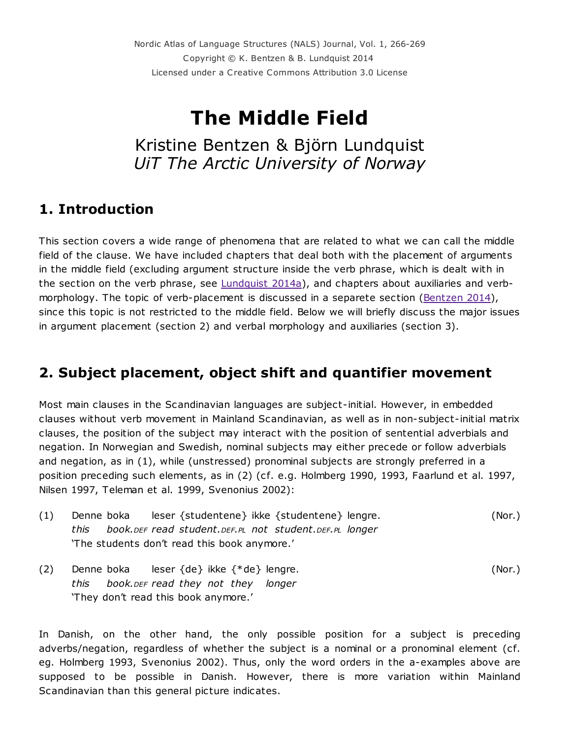Nordic Atlas of Language Structures (NALS) Journal, Vol. 1, 266-269 Copyright © K. Bentzen & B. Lundquist 2014 Licensed under a Creative Commons Attribution 3.0 License

# The Middle Field

Kristine Bentzen & Björn Lundquist *UiT The Arctic University of Norway*

## 1. Introduction

This section covers a wide range of phenomena that are related to what we can call the middle field of the clause. We have included chapters that deal both with the placement of arguments in the middle field (excluding argument structure inside the verb phrase, which is dealt with in the section on the verb phrase, see  $Lundquist 2014a$  $Lundquist 2014a$ , and chapters about auxiliaries and verb-morphology. The topic of verb-placement is discussed in a separete section [\(Bentzen](http://www.tekstlab.uio.no/nals#/chapter/9) 2014), since this topic is not restricted to the middle field. Below we will briefly discuss the major issues in argument placement (section 2) and verbal morphology and auxiliaries (section 3).

## 2. Subject placement, object shift and quantifier movement

Most main clauses in the Scandinavian languages are subject-initial. However, in embedded clauses without verb movement in Mainland Scandinavian, as well as in non-subject-initial matrix clauses, the position of the subject may interact with the position of sentential adverbials and negation. In Norwegian and Swedish, nominal subjects may either precede or follow adverbials and negation, as in (1), while (unstressed) pronominal subjects are strongly preferred in a position preceding such elements, as in (2) (cf. e.g. Holmberg 1990, 1993, Faarlund et al. 1997, Nilsen 1997, Teleman et al. 1999, Svenonius 2002):

- (1) Denne boka leser {studentene} ikke {studentene} lengre. (Nor.) *this book.DEF read student.DEF.PL not student.DEF.PL longer* 'The students don't read this book anymore.'
- (2) Denne boka leser {de} ikke {\*de} lengre. (Nor.) *this book.DEF read they not they longer* 'They don't read this book anymore.'

In Danish, on the other hand, the only possible position for a subject is preceding adverbs/negation, regardless of whether the subject is a nominal or a pronominal element (cf. eg. Holmberg 1993, Svenonius 2002). Thus, only the word orders in the a-examples above are supposed to be possible in Danish. However, there is more variation within Mainland Scandinavian than this general picture indicates.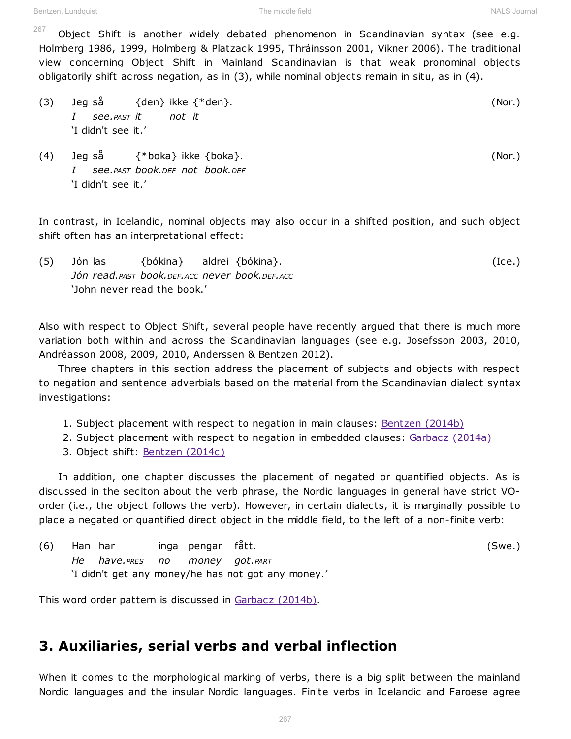The middle field NALS Journal NALS Journal

Object Shift is another widely debated phenomenon in Scandinavian syntax (see e.g. Holmberg 1986, 1999, Holmberg & Platzack 1995, Thráinsson 2001, Vikner 2006). The traditional view concerning Object Shift in Mainland Scandinavian is that weak pronominal objects obligatorily shift across negation, as in (3), while nominal objects remain in situ, as in (4). 267

- (3) Jeg så {den} ikke {\*den}. (Nor.) *I see.PAST it not it* 'I didn't see it.'
- (4) Jeg så {\*boka} ikke {boka}. (Nor.) *I see.PAST book.DEF not book.DEF* 'I didn't see it.'

In contrast, in Icelandic, nominal objects may also occur in a shifted position, and such object shift often has an interpretational effect:

(5) Jón las {bókina} aldrei {bókina}. (Ice.) *Jón read.PAST book.DEF.ACC never book.DEF.ACC* 'John never read the book.'

Also with respect to Object Shift, several people have recently argued that there is much more variation both within and across the Scandinavian languages (see e.g. Josefsson 2003, 2010, Andréasson 2008, 2009, 2010, Anderssen & Bentzen 2012).

Three chapters in this section address the placement of subjects and objects with respect to negation and sentence adverbials based on the material from the Scandinavian dialect syntax investigations:

- 1. Subject placement with respect to negation in main clauses: [Bentzen \(2014b\)](http://www.tekstlab.uio.no/nals#/chapter/54)
- 2. Subject placement with respect to negation in embedded clauses: [Garbacz \(2014a\)](http://www.tekstlab.uio.no/nals#/chapter/39)
- 3. Object shift: [Bentzen \(2014c\)](http://www.tekstlab.uio.no/nals#/chapter/53)

In addition, one chapter discusses the placement of negated or quantified objects. As is discussed in the seciton about the verb phrase, the Nordic languages in general have strict VOorder (i.e., the object follows the verb). However, in certain dialects, it is marginally possible to place a negated or quantified direct object in the middle field, to the left of a non-finite verb:

(6) Han har inga pengar fått. (Swe.) *He have.PRES no money got.PART* 'I didn't get any money/he has not got any money.'

This word order pattern is discussed in [Garbacz \(2014b\).](http://www.tekstlab.uio.no/nals#/chapter/40)

### 3. Auxiliaries, serial verbs and verbal inflection

When it comes to the morphological marking of verbs, there is a big split between the mainland Nordic languages and the insular Nordic languages. Finite verbs in Icelandic and Faroese agree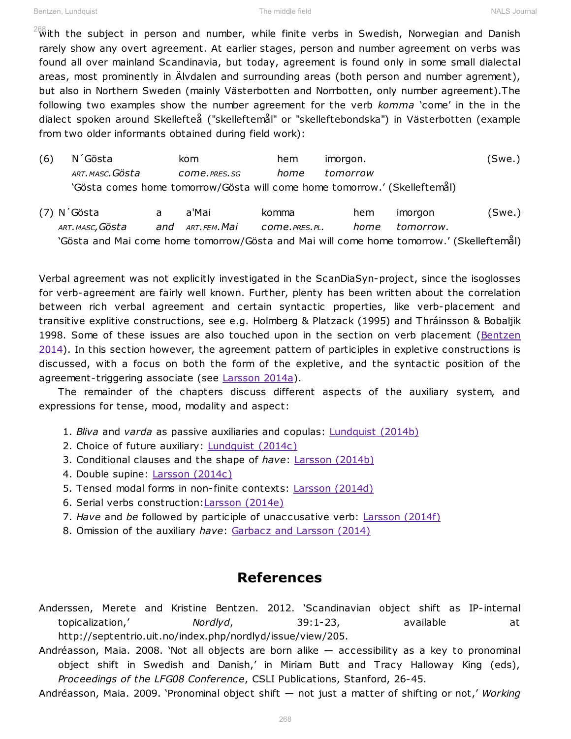$^{268}_{\text{W}}$ ith the subject in person and number, while finite verbs in Swedish, Norwegian and Danish rarely show any overt agreement. At earlier stages, person and number agreement on verbs was found all over mainland Scandinavia, but today, agreement is found only in some small dialectal areas, most prominently in Älvdalen and surrounding areas (both person and number agrement), but also in Northern Sweden (mainly Västerbotten and Norrbotten, only number agreement).The following two examples show the number agreement for the verb komma 'come' in the in the dialect spoken around Skellefteå ("skelleftemål" or "skelleftebondska") in Västerbotten (example from two older informants obtained during field work):

- (6) N´Gösta kom hem imorgon. (Swe.) *ART.MASC.Gösta come.PRES.SG home tomorrow* 'Gösta comes home tomorrow/Gösta will come home tomorrow.' (Skelleftemål)
- (7) N´Gösta a a'Mai komma hem imorgon (Swe.) *ART.MASC,Gösta and ART.FEM.Mai come.PRES.PL. home tomorrow.* 'Gösta and Mai come home tomorrow/Gösta and Mai will come home tomorrow.' (Skelleftemål)

Verbal agreement was not explicitly investigated in the ScanDiaSyn-project, since the isoglosses for verb-agreement are fairly well known. Further, plenty has been written about the correlation between rich verbal agreement and certain syntactic properties, like verb-placement and transitive explitive constructions, see e.g. Holmberg & Platzack (1995) and Thráinsson & Bobaljik 1998. Some of these issues are also touched upon in the section on verb placement (Bentzen  $2014$ ). In this section however, the agreement pattern of participles in expletive constructions is discussed, with a focus on both the form of the expletive, and the syntactic position of the agreement-triggering associate (see [Larsson 2014a\)](http://www.tekstlab.uio.no/nals#/chapter/58).

The remainder of the chapters discuss different aspects of the auxiliary system, and expressions for tense, mood, modality and aspect:

- 1. *Bliva* and *varda* as passive auxiliaries and copulas: [Lundquist \(2014b\)](http://www.tekstlab.uio.no/nals#/chapter/15)
- 2. Choice of future auxiliary: **[Lundquist \(2014c\)](http://www.tekstlab.uio.no/nals#/chapter/21)**
- 3. Conditional clauses and the shape of *have*: [Larsson \(2014b\)](http://www.tekstlab.uio.no/nals#/chapter/30)
- 4. Double supine: [Larsson \(2014c\)](http://www.tekstlab.uio.no/nals#/chapter/21)
- 5. Tensed modal forms in non finite contexts: [Larsson \(2014d\)](http://www.tekstlab.uio.no/nals#/chapter/63)
- 6. Serial verbs construction: [Larsson \(2014e\)](http://www.tekstlab.uio.no/nals#/chapter/65)
- 7. *Have* and *be* followed by participle of unac cusative verb: [Larsson \(2014f\)](http://www.tekstlab.uio.no/nals#/chapter/64)
- 8. Omission of the auxiliary *have*: [Garbacz and Larsson \(2014\)](http://www.tekstlab.uio.no/nals#/chapter/59)

### References

- Anderssen, Merete and Kristine Bentzen. 2012. 'Scandinavian object shift as IP-internal topicalization,' *Nordlyd*, 39:1-23, available at http://septentrio.uit.no/index.php/nordlyd/issue/view/205.
- Andréasson, Maia. 2008. 'Not all objects are born alike  $-$  accessibility as a key to pronominal object shift in Swedish and Danish,' in Miriam Butt and Tracy Halloway King (eds), *Proceedings of the LFG08 Conference, CSLI Publications, Stanford, 26-45.*
- Andréasson, Maia. 2009. 'Pronominal object shift not just a matter of shifting or not,' Working